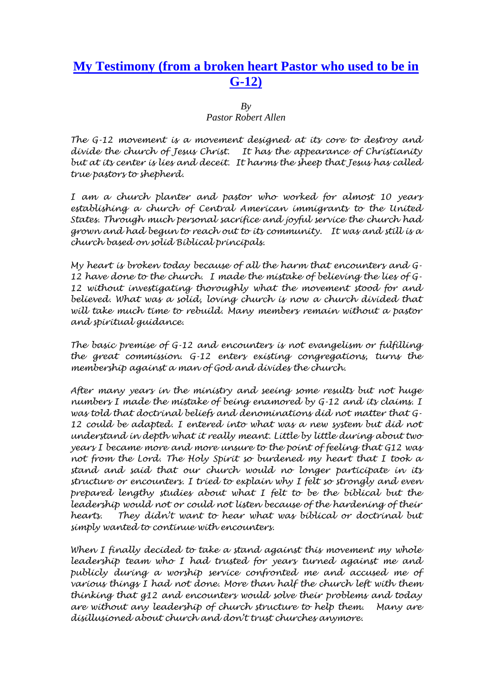## **My Testimony (from a broken heart Pastor who used to be in G-12)**

 $Bv$ 

*Pastor Robert Allen* 

*The G-12 movement is a movement designed at its core to destroy and divide the church of Jesus Christ. It has the appearance of Christianity but at its center is lies and deceit. It harms the sheep that Jesus has called true pastors to shepherd.* 

*I am a church planter and pastor who worked for almost 10 years establishing a church of Central American immigrants to the United States. Through much personal sacrifice and joyful service the church had grown and had begun to reach out to its community. It was and still is a church based on solid Biblical principals.* 

*My heart is broken today because of all the harm that encounters and G-12 have done to the church. I made the mistake of believing the lies of G-12 without investigating thoroughly what the movement stood for and*  believed. What was a solid, loving church is now a church divided that *will take much time to rebuild. Many members remain without a pastor and spiritual guidance.* 

*The basic premise of G-12 and encounters is not evangelism or fulfilling the great commission. G-12 enters existing congregations, turns the membership against a man of God and divides the church.* 

*After many years in the ministry and seeing some results but not huge numbers I made the mistake of being enamored by G-12 and its claims. I was told that doctrinal beliefs and denominations did not matter that G-12 could be adapted. I entered into what was a new system but did not understand in depth what it really meant. Little by little during about two years I became more and more unsure to the point of feeling that G12 was not from the Lord. The Holy Spirit so burdened my heart that I took a stand and said that our church would no longer participate in its structure or encounters. I tried to explain why I felt so strongly and even prepared lengthy studies about what I felt to be the biblical but the leadership would not or could not listen because of the hardening of their hearts. They didn't want to hear what was biblical or doctrinal but simply wanted to continue with encounters.* 

*When I finally decided to take a stand against this movement my whole leadership team who I had trusted for years turned against me and publicly during a worship service confronted me and accused me of various things I had not done. More than half the church left with them thinking that g12 and encounters would solve their problems and today are without any leadership of church structure to help them. Many are disillusioned about church and don't trust churches anymore.*